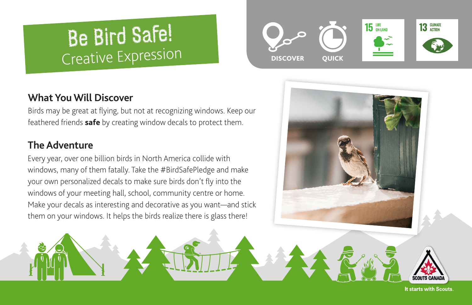# Be Bird Safe! Creative Expression



Birds may be great at flying, but not at recognizing windows. Keep our feathered friends **[safe](https://birdsafe.ca)** by creating window decals to protect them.

## **The Adventure**

Every year, over one billion birds in North America collide with windows, many of them fatally. Take the #BirdSafePledge and make your own personalized decals to make sure birds don't fly into the windows of your meeting hall, school, community centre or home. Make your decals as interesting and decorative as you want—and stick them on your windows. It helps the birds realize there is glass there!





It starts with Scouts.